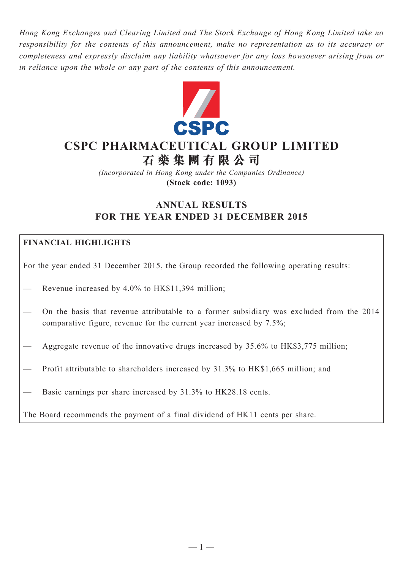*Hong Kong Exchanges and Clearing Limited and The Stock Exchange of Hong Kong Limited take no responsibility for the contents of this announcement, make no representation as to its accuracy or completeness and expressly disclaim any liability whatsoever for any loss howsoever arising from or in reliance upon the whole or any part of the contents of this announcement.*



# **CSPC PHARMACEUTICAL GROUP LIMITED**

**石 藥 集 團 有 限 公 司**

*(Incorporated in Hong Kong under the Companies Ordinance)* **(Stock code: 1093)**

# **ANNUAL RESULTS FOR THE YEAR ENDED 31 DECEMBER 2015**

## **FINANCIAL HIGHLIGHTS**

For the year ended 31 December 2015, the Group recorded the following operating results:

- Revenue increased by 4.0% to HK\$11,394 million;
- On the basis that revenue attributable to a former subsidiary was excluded from the 2014 comparative figure, revenue for the current year increased by 7.5%;
- Aggregate revenue of the innovative drugs increased by 35.6% to HK\$3,775 million;
- Profit attributable to shareholders increased by 31.3% to HK\$1,665 million; and
- Basic earnings per share increased by 31.3% to HK28.18 cents.

The Board recommends the payment of a final dividend of HK11 cents per share.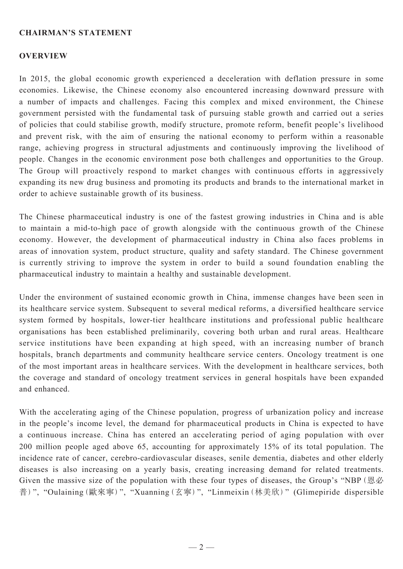#### **Chairman's Statement**

#### **OVERVIEW**

In 2015, the global economic growth experienced a deceleration with deflation pressure in some economies. Likewise, the Chinese economy also encountered increasing downward pressure with a number of impacts and challenges. Facing this complex and mixed environment, the Chinese government persisted with the fundamental task of pursuing stable growth and carried out a series of policies that could stabilise growth, modify structure, promote reform, benefit people's livelihood and prevent risk, with the aim of ensuring the national economy to perform within a reasonable range, achieving progress in structural adjustments and continuously improving the livelihood of people. Changes in the economic environment pose both challenges and opportunities to the Group. The Group will proactively respond to market changes with continuous efforts in aggressively expanding its new drug business and promoting its products and brands to the international market in order to achieve sustainable growth of its business.

The Chinese pharmaceutical industry is one of the fastest growing industries in China and is able to maintain a mid-to-high pace of growth alongside with the continuous growth of the Chinese economy. However, the development of pharmaceutical industry in China also faces problems in areas of innovation system, product structure, quality and safety standard. The Chinese government is currently striving to improve the system in order to build a sound foundation enabling the pharmaceutical industry to maintain a healthy and sustainable development.

Under the environment of sustained economic growth in China, immense changes have been seen in its healthcare service system. Subsequent to several medical reforms, a diversified healthcare service system formed by hospitals, lower-tier healthcare institutions and professional public healthcare organisations has been established preliminarily, covering both urban and rural areas. Healthcare service institutions have been expanding at high speed, with an increasing number of branch hospitals, branch departments and community healthcare service centers. Oncology treatment is one of the most important areas in healthcare services. With the development in healthcare services, both the coverage and standard of oncology treatment services in general hospitals have been expanded and enhanced.

With the accelerating aging of the Chinese population, progress of urbanization policy and increase in the people's income level, the demand for pharmaceutical products in China is expected to have a continuous increase. China has entered an accelerating period of aging population with over 200 million people aged above 65, accounting for approximately 15% of its total population. The incidence rate of cancer, cerebro-cardiovascular diseases, senile dementia, diabetes and other elderly diseases is also increasing on a yearly basis, creating increasing demand for related treatments. Given the massive size of the population with these four types of diseases, the Group's "NBP(恩必 普)", "Oulaining(歐來寧)", "Xuanning(玄寧)", "Linmeixin(林美欣)" (Glimepiride dispersible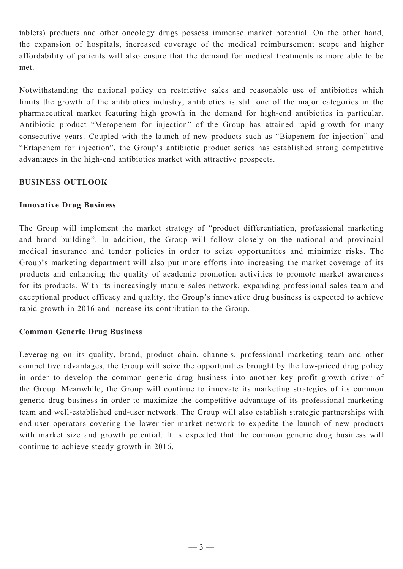tablets) products and other oncology drugs possess immense market potential. On the other hand, the expansion of hospitals, increased coverage of the medical reimbursement scope and higher affordability of patients will also ensure that the demand for medical treatments is more able to be met.

Notwithstanding the national policy on restrictive sales and reasonable use of antibiotics which limits the growth of the antibiotics industry, antibiotics is still one of the major categories in the pharmaceutical market featuring high growth in the demand for high-end antibiotics in particular. Antibiotic product "Meropenem for injection" of the Group has attained rapid growth for many consecutive years. Coupled with the launch of new products such as "Biapenem for injection" and "Ertapenem for injection", the Group's antibiotic product series has established strong competitive advantages in the high-end antibiotics market with attractive prospects.

## **BUSINESS OUTLOOK**

#### **Innovative Drug Business**

The Group will implement the market strategy of "product differentiation, professional marketing and brand building". In addition, the Group will follow closely on the national and provincial medical insurance and tender policies in order to seize opportunities and minimize risks. The Group's marketing department will also put more efforts into increasing the market coverage of its products and enhancing the quality of academic promotion activities to promote market awareness for its products. With its increasingly mature sales network, expanding professional sales team and exceptional product efficacy and quality, the Group's innovative drug business is expected to achieve rapid growth in 2016 and increase its contribution to the Group.

## **Common Generic Drug Business**

Leveraging on its quality, brand, product chain, channels, professional marketing team and other competitive advantages, the Group will seize the opportunities brought by the low-priced drug policy in order to develop the common generic drug business into another key profit growth driver of the Group. Meanwhile, the Group will continue to innovate its marketing strategies of its common generic drug business in order to maximize the competitive advantage of its professional marketing team and well-established end-user network. The Group will also establish strategic partnerships with end-user operators covering the lower-tier market network to expedite the launch of new products with market size and growth potential. It is expected that the common generic drug business will continue to achieve steady growth in 2016.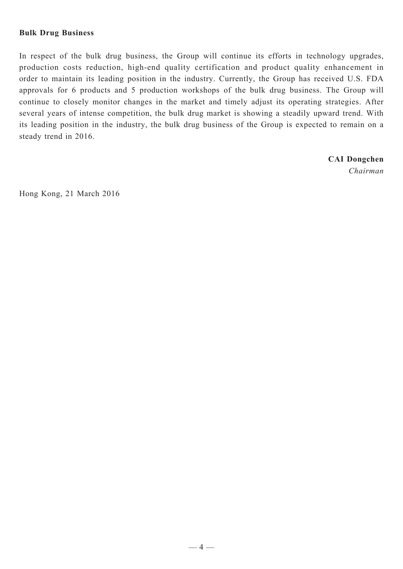#### **Bulk Drug Business**

In respect of the bulk drug business, the Group will continue its efforts in technology upgrades, production costs reduction, high-end quality certification and product quality enhancement in order to maintain its leading position in the industry. Currently, the Group has received U.S. FDA approvals for 6 products and 5 production workshops of the bulk drug business. The Group will continue to closely monitor changes in the market and timely adjust its operating strategies. After several years of intense competition, the bulk drug market is showing a steadily upward trend. With its leading position in the industry, the bulk drug business of the Group is expected to remain on a steady trend in 2016.

> **CAI Dongchen** *Chairman*

Hong Kong, 21 March 2016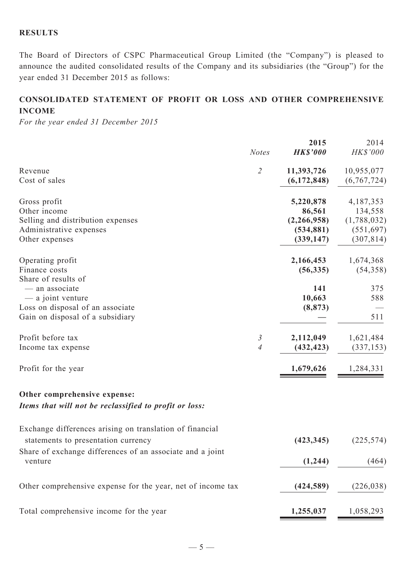#### **RESULTS**

The Board of Directors of CSPC Pharmaceutical Group Limited (the "Company") is pleased to announce the audited consolidated results of the Company and its subsidiaries (the "Group") for the year ended 31 December 2015 as follows:

# **CONSOLIDATED STATEMENT OF profit or loss AND OTHER COMPREHENSIVE INCOME**

*For the year ended 31 December 2015*

|                                                                                                                                    | <b>Notes</b>   | 2015<br><b>HK\$'000</b>                                        | 2014<br>HK\$'000                                                |
|------------------------------------------------------------------------------------------------------------------------------------|----------------|----------------------------------------------------------------|-----------------------------------------------------------------|
| Revenue<br>Cost of sales                                                                                                           | $\overline{2}$ | 11,393,726<br>(6,172,848)                                      | 10,955,077<br>(6,767,724)                                       |
| Gross profit<br>Other income<br>Selling and distribution expenses<br>Administrative expenses<br>Other expenses                     |                | 5,220,878<br>86,561<br>(2,266,958)<br>(534, 881)<br>(339, 147) | 4,187,353<br>134,558<br>(1,788,032)<br>(551, 697)<br>(307, 814) |
| Operating profit<br>Finance costs                                                                                                  |                | 2,166,453<br>(56, 335)                                         | 1,674,368<br>(54, 358)                                          |
| Share of results of<br>- an associate<br>— a joint venture<br>Loss on disposal of an associate<br>Gain on disposal of a subsidiary |                | 141<br>10,663<br>(8, 873)                                      | 375<br>588<br>511                                               |
| Profit before tax<br>Income tax expense                                                                                            | 3<br>4         | 2,112,049<br>(432, 423)                                        | 1,621,484<br>(337, 153)                                         |
| Profit for the year                                                                                                                |                | 1,679,626                                                      | 1,284,331                                                       |
| Other comprehensive expense:<br>Items that will not be reclassified to profit or loss:                                             |                |                                                                |                                                                 |
| Exchange differences arising on translation of financial<br>statements to presentation currency                                    |                | (423, 345)                                                     | (225, 574)                                                      |
| Share of exchange differences of an associate and a joint<br>venture                                                               |                | (1,244)                                                        | (464)                                                           |
| Other comprehensive expense for the year, net of income tax                                                                        |                | (424, 589)                                                     | (226, 038)                                                      |
| Total comprehensive income for the year                                                                                            |                | 1,255,037                                                      | 1,058,293                                                       |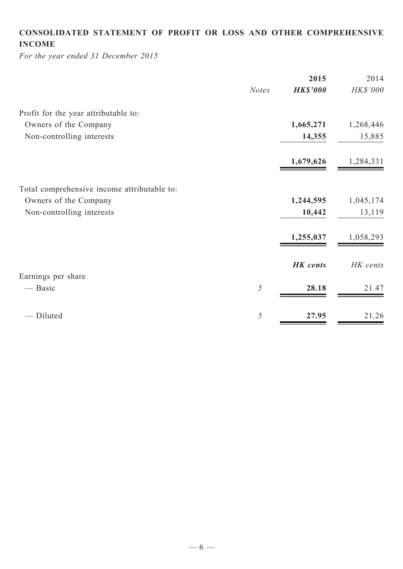# **CONSOLIDATED STATEMENT OF profit or loss and Other COMPREHENSIVE INCOME**

*For the year ended 31 December 2015*

|              | 2015            | 2014      |
|--------------|-----------------|-----------|
| <b>Notes</b> | <b>HK\$'000</b> | HK\$'000  |
|              |                 |           |
|              | 1,665,271       | 1,268,446 |
|              | 14,355          | 15,885    |
|              | 1,679,626       | 1,284,331 |
|              |                 |           |
|              | 1,244,595       | 1,045,174 |
|              | 10,442          | 13,119    |
|              | 1,255,037       | 1,058,293 |
|              | <b>HK</b> cents | HK cents  |
|              |                 |           |
|              |                 | 21.47     |
| 5            | 27.95           | 21.26     |
|              | 5               | 28.18     |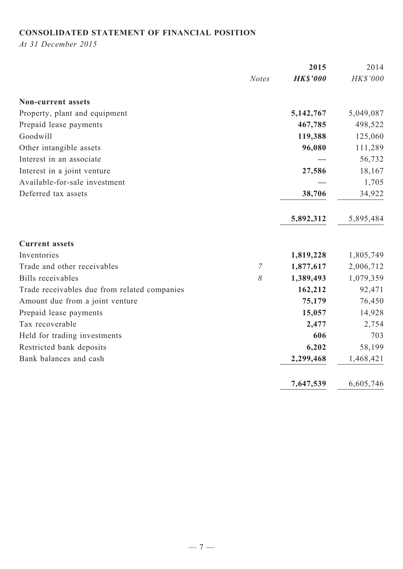# **CONSOLIDATED STATEMENT OF FINANCIAL POSITION**

*At 31 December 2015*

|                                              |                | 2015            | 2014      |
|----------------------------------------------|----------------|-----------------|-----------|
|                                              | <b>Notes</b>   | <b>HK\$'000</b> | HK\$'000  |
| <b>Non-current assets</b>                    |                |                 |           |
| Property, plant and equipment                |                | 5,142,767       | 5,049,087 |
| Prepaid lease payments                       |                | 467,785         | 498,522   |
| Goodwill                                     |                | 119,388         | 125,060   |
| Other intangible assets                      |                | 96,080          | 111,289   |
| Interest in an associate                     |                |                 | 56,732    |
| Interest in a joint venture                  |                | 27,586          | 18,167    |
| Available-for-sale investment                |                |                 | 1,705     |
| Deferred tax assets                          |                | 38,706          | 34,922    |
|                                              |                | 5,892,312       | 5,895,484 |
| <b>Current assets</b>                        |                |                 |           |
| Inventories                                  |                | 1,819,228       | 1,805,749 |
| Trade and other receivables                  | $\overline{7}$ | 1,877,617       | 2,006,712 |
| <b>Bills</b> receivables                     | $\delta$       | 1,389,493       | 1,079,359 |
| Trade receivables due from related companies |                | 162,212         | 92,471    |
| Amount due from a joint venture              |                | 75,179          | 76,450    |
| Prepaid lease payments                       |                | 15,057          | 14,928    |
| Tax recoverable                              |                | 2,477           | 2,754     |
| Held for trading investments                 |                | 606             | 703       |
| Restricted bank deposits                     |                | 6,202           | 58,199    |
| Bank balances and cash                       |                | 2,299,468       | 1,468,421 |
|                                              |                | 7,647,539       | 6,605,746 |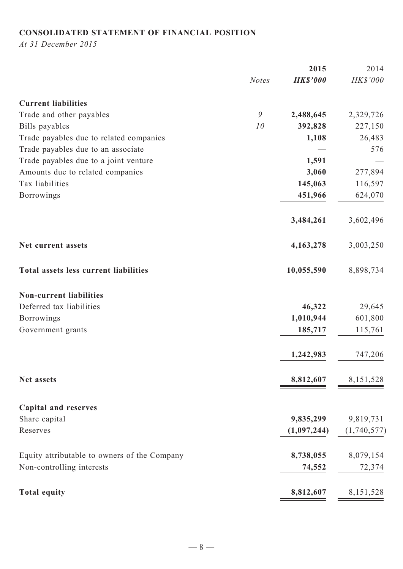# **CONSOLIDATED STATEMENT OF FINANCIAL POSITION**

*At 31 December 2015*

|                                              |              | 2015            | 2014        |
|----------------------------------------------|--------------|-----------------|-------------|
|                                              | <b>Notes</b> | <b>HK\$'000</b> | HK\$'000    |
| <b>Current liabilities</b>                   |              |                 |             |
| Trade and other payables                     | 9            | 2,488,645       | 2,329,726   |
| Bills payables                               | 10           | 392,828         | 227,150     |
| Trade payables due to related companies      |              | 1,108           | 26,483      |
| Trade payables due to an associate           |              |                 | 576         |
| Trade payables due to a joint venture        |              | 1,591           |             |
| Amounts due to related companies             |              | 3,060           | 277,894     |
| Tax liabilities                              |              | 145,063         | 116,597     |
| <b>Borrowings</b>                            |              | 451,966         | 624,070     |
|                                              |              | 3,484,261       | 3,602,496   |
| Net current assets                           |              | 4,163,278       | 3,003,250   |
| Total assets less current liabilities        |              | 10,055,590      | 8,898,734   |
| <b>Non-current liabilities</b>               |              |                 |             |
| Deferred tax liabilities                     |              | 46,322          | 29,645      |
| <b>Borrowings</b>                            |              | 1,010,944       | 601,800     |
| Government grants                            |              | 185,717         | 115,761     |
|                                              |              | 1,242,983       | 747,206     |
| Net assets                                   |              | 8,812,607       | 8,151,528   |
| <b>Capital and reserves</b>                  |              |                 |             |
| Share capital                                |              | 9,835,299       | 9,819,731   |
| Reserves                                     |              | (1,097,244)     | (1,740,577) |
| Equity attributable to owners of the Company |              | 8,738,055       | 8,079,154   |
| Non-controlling interests                    |              | 74,552          | 72,374      |
| <b>Total equity</b>                          |              | 8,812,607       | 8,151,528   |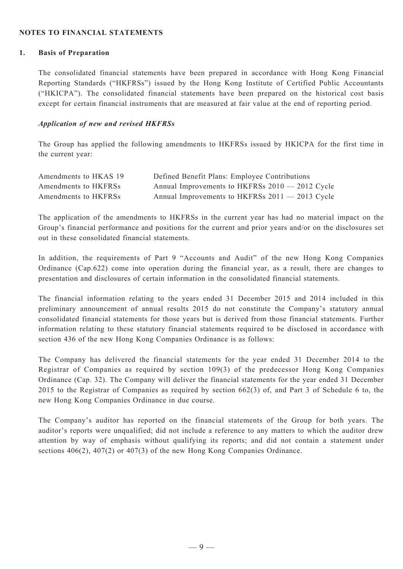#### **NOTES TO FINANCIAL STATEMENTS**

#### **1. Basis of Preparation**

The consolidated financial statements have been prepared in accordance with Hong Kong Financial Reporting Standards ("HKFRSs") issued by the Hong Kong Institute of Certified Public Accountants ("HKICPA"). The consolidated financial statements have been prepared on the historical cost basis except for certain financial instruments that are measured at fair value at the end of reporting period.

#### *Application of new and revised HKFRSs*

The Group has applied the following amendments to HKFRSs issued by HKICPA for the first time in the current year:

| Amendments to HKAS 19 | Defined Benefit Plans: Employee Contributions   |
|-----------------------|-------------------------------------------------|
| Amendments to HKFRSs  | Annual Improvements to HKFRSs 2010 - 2012 Cycle |
| Amendments to HKFRSs  | Annual Improvements to HKFRSs 2011 - 2013 Cycle |

The application of the amendments to HKFRSs in the current year has had no material impact on the Group's financial performance and positions for the current and prior years and/or on the disclosures set out in these consolidated financial statements.

In addition, the requirements of Part 9 "Accounts and Audit" of the new Hong Kong Companies Ordinance (Cap.622) come into operation during the financial year, as a result, there are changes to presentation and disclosures of certain information in the consolidated financial statements.

The financial information relating to the years ended 31 December 2015 and 2014 included in this preliminary announcement of annual results 2015 do not constitute the Company's statutory annual consolidated financial statements for those years but is derived from those financial statements. Further information relating to these statutory financial statements required to be disclosed in accordance with section 436 of the new Hong Kong Companies Ordinance is as follows:

The Company has delivered the financial statements for the year ended 31 December 2014 to the Registrar of Companies as required by section 109(3) of the predecessor Hong Kong Companies Ordinance (Cap. 32). The Company will deliver the financial statements for the year ended 31 December 2015 to the Registrar of Companies as required by section 662(3) of, and Part 3 of Schedule 6 to, the new Hong Kong Companies Ordinance in due course.

The Company's auditor has reported on the financial statements of the Group for both years. The auditor's reports were unqualified; did not include a reference to any matters to which the auditor drew attention by way of emphasis without qualifying its reports; and did not contain a statement under sections 406(2), 407(2) or 407(3) of the new Hong Kong Companies Ordinance.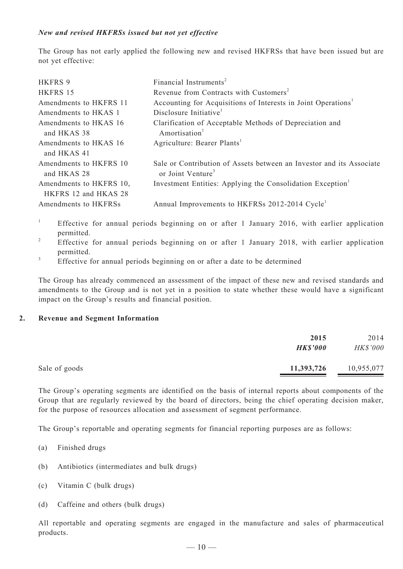#### *New and revised HKFRSs issued but not yet effective*

The Group has not early applied the following new and revised HKFRSs that have been issued but are not yet effective:

| <b>HKFRS 9</b><br>HKFRS 15                      | Financial Instruments <sup>2</sup><br>Revenue from Contracts with Customers <sup>2</sup>              |
|-------------------------------------------------|-------------------------------------------------------------------------------------------------------|
| Amendments to HKFRS 11                          | Accounting for Acquisitions of Interests in Joint Operations <sup>1</sup>                             |
| Amendments to HKAS 1                            | Disclosure Initiative <sup>1</sup>                                                                    |
| Amendments to HKAS 16<br>and HKAS 38            | Clarification of Acceptable Methods of Depreciation and<br>Amortisation <sup>1</sup>                  |
| Amendments to HKAS 16<br>and HKAS 41            | Agriculture: Bearer Plants <sup>1</sup>                                                               |
| Amendments to HKFRS 10<br>and HKAS 28           | Sale or Contribution of Assets between an Investor and its Associate<br>or Joint Venture <sup>3</sup> |
| Amendments to HKFRS 10,<br>HKFRS 12 and HKAS 28 | Investment Entities: Applying the Consolidation Exception <sup>1</sup>                                |
| Amendments to HKFRSs                            | Annual Improvements to HKFRSs 2012-2014 Cycle <sup>1</sup>                                            |

- <sup>1</sup> Effective for annual periods beginning on or after 1 January 2016, with earlier application permitted.
- <sup>2</sup> Effective for annual periods beginning on or after 1 January 2018, with earlier application permitted.
- <sup>3</sup> Effective for annual periods beginning on or after a date to be determined

The Group has already commenced an assessment of the impact of these new and revised standards and amendments to the Group and is not yet in a position to state whether these would have a significant impact on the Group's results and financial position.

#### **2. Revenue and Segment Information**

|               | 2015<br><b>HK\$'000</b> | 2014<br>HK\$'000 |
|---------------|-------------------------|------------------|
| Sale of goods | 11,393,726              | 10,955,077       |

The Group's operating segments are identified on the basis of internal reports about components of the Group that are regularly reviewed by the board of directors, being the chief operating decision maker, for the purpose of resources allocation and assessment of segment performance.

The Group's reportable and operating segments for financial reporting purposes are as follows:

- (a) Finished drugs
- (b) Antibiotics (intermediates and bulk drugs)
- (c) Vitamin C (bulk drugs)
- (d) Caffeine and others (bulk drugs)

All reportable and operating segments are engaged in the manufacture and sales of pharmaceutical products.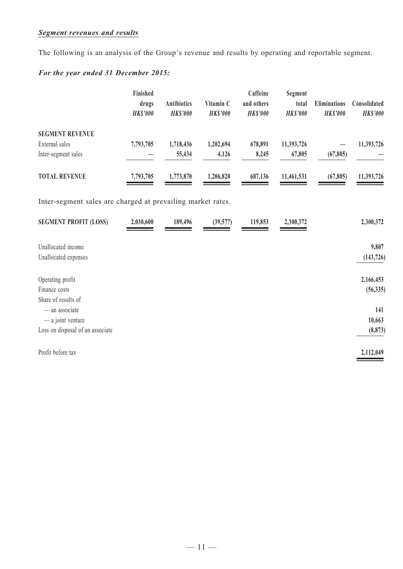## *Segment revenues and results*

The following is an analysis of the Group's revenue and results by operating and reportable segment.

## *For the year ended 31 December 2015:*

|                        | Finished<br>drugs<br><b>HKS'000</b> | <b>Antibiotics</b><br><b>HKS'000</b> | Vitamin C<br><b>HKS'000</b> | Caffeine<br>and others<br><b>HKS'000</b> | Segment<br>total<br><b>HKS'000</b> | <b>Eliminations</b><br><b>HKS'000</b> | Consolidated<br><b>HK\$'000</b> |
|------------------------|-------------------------------------|--------------------------------------|-----------------------------|------------------------------------------|------------------------------------|---------------------------------------|---------------------------------|
| <b>SEGMENT REVENUE</b> |                                     |                                      |                             |                                          |                                    |                                       |                                 |
| External sales         | 7,793,705                           | 1,718,436                            | 1,202,694                   | 678,891                                  | 11,393,726                         |                                       | 11,393,726                      |
| Inter-segment sales    |                                     | 55,434                               | 4,126                       | 8,245                                    | 67,805                             | (67, 805)                             |                                 |
| <b>TOTAL REVENUE</b>   | 7,793,705                           | 1,773,870                            | 1,206,820                   | 687,136                                  | 11,461,531                         | (67, 805)                             | 11,393,726                      |

Inter-segment sales are charged at prevailing market rates.

| <b>SEGMENT PROFIT (LOSS)</b>     | 2,030,600 | 189,496 | (39, 577) | 119,853 | 2,300,372 | 2,300,372  |
|----------------------------------|-----------|---------|-----------|---------|-----------|------------|
| Unallocated income               |           |         |           |         |           | 9,807      |
| Unallocated expenses             |           |         |           |         |           | (143, 726) |
| Operating profit                 |           |         |           |         |           | 2,166,453  |
| Finance costs                    |           |         |           |         |           | (56, 335)  |
| Share of results of              |           |         |           |         |           |            |
| - an associate                   |           |         |           |         |           | 141        |
| $-$ a joint venture              |           |         |           |         |           | 10,663     |
| Loss on disposal of an associate |           |         |           |         |           | (8, 873)   |
| Profit before tax                |           |         |           |         |           | 2,112,049  |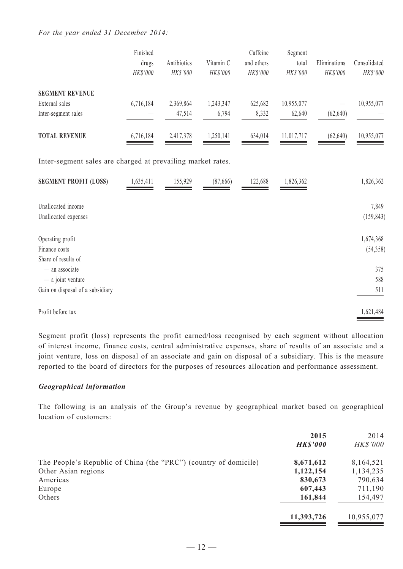#### *For the year ended 31 December 2014:*

|                                                             | Finished<br>drugs<br>HK\$'000 | Antibiotics<br>HK\$'000 | Vitamin C<br>HK\$'000 | Caffeine<br>and others<br>HK\$'000 | Segment<br>total<br>HK\$'000 | Eliminations<br>HK\$'000 | Consolidated<br>HK\$'000 |
|-------------------------------------------------------------|-------------------------------|-------------------------|-----------------------|------------------------------------|------------------------------|--------------------------|--------------------------|
| <b>SEGMENT REVENUE</b>                                      |                               |                         |                       |                                    |                              |                          |                          |
| External sales                                              | 6,716,184                     | 2,369,864               | 1,243,347             | 625,682                            | 10,955,077                   |                          | 10,955,077               |
| Inter-segment sales                                         |                               | 47,514                  | 6,794                 | 8,332                              | 62,640                       | (62, 640)                |                          |
| <b>TOTAL REVENUE</b>                                        | 6,716,184                     | 2,417,378               | 1,250,141             | 634,014                            | 11,017,717                   | (62, 640)                | 10,955,077               |
| Inter-segment sales are charged at prevailing market rates. |                               |                         |                       |                                    |                              |                          |                          |
| <b>SEGMENT PROFIT (LOSS)</b>                                | 1,635,411                     | 155,929                 | (87,666)              | 122,688                            | 1,826,362                    |                          | 1,826,362                |
| Unallocated income                                          |                               |                         |                       |                                    |                              |                          | 7,849                    |
| Unallocated expenses                                        |                               |                         |                       |                                    |                              |                          | (159, 843)               |
| Operating profit                                            |                               |                         |                       |                                    |                              |                          | 1,674,368                |
| Finance costs                                               |                               |                         |                       |                                    |                              |                          | (54, 358)                |
| Share of results of                                         |                               |                         |                       |                                    |                              |                          |                          |
| - an associate                                              |                               |                         |                       |                                    |                              |                          | 375                      |
| - a joint venture                                           |                               |                         |                       |                                    |                              |                          | 588                      |
| Gain on disposal of a subsidiary                            |                               |                         |                       |                                    |                              |                          | 511                      |
| Profit before tax                                           |                               |                         |                       |                                    |                              |                          | 1,621,484                |

Segment profit (loss) represents the profit earned/loss recognised by each segment without allocation of interest income, finance costs, central administrative expenses, share of results of an associate and a joint venture, loss on disposal of an associate and gain on disposal of a subsidiary. This is the measure reported to the board of directors for the purposes of resources allocation and performance assessment.

#### *Geographical information*

The following is an analysis of the Group's revenue by geographical market based on geographical location of customers:

|                                                                  | 2015<br><b>HK\$'000</b> | 2014<br><b>HK\$'000</b> |
|------------------------------------------------------------------|-------------------------|-------------------------|
|                                                                  |                         |                         |
| The People's Republic of China (the "PRC") (country of domicile) | 8,671,612               | 8,164,521               |
| Other Asian regions                                              | 1,122,154               | 1,134,235               |
| Americas                                                         | 830,673                 | 790,634                 |
| Europe                                                           | 607,443                 | 711,190                 |
| Others                                                           | 161,844                 | 154,497                 |
|                                                                  | 11,393,726              | 10,955,077              |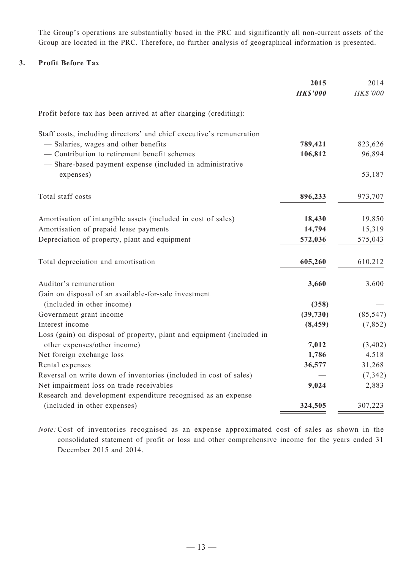The Group's operations are substantially based in the PRC and significantly all non-current assets of the Group are located in the PRC. Therefore, no further analysis of geographical information is presented.

#### **3. Profit Before Tax**

|                                                                       | 2015            | 2014      |
|-----------------------------------------------------------------------|-----------------|-----------|
|                                                                       | <b>HK\$'000</b> | HK\$'000  |
| Profit before tax has been arrived at after charging (crediting):     |                 |           |
| Staff costs, including directors' and chief executive's remuneration  |                 |           |
| - Salaries, wages and other benefits                                  | 789,421         | 823,626   |
| - Contribution to retirement benefit schemes                          | 106,812         | 96,894    |
| - Share-based payment expense (included in administrative             |                 |           |
| expenses)                                                             |                 | 53,187    |
| Total staff costs                                                     | 896,233         | 973,707   |
| Amortisation of intangible assets (included in cost of sales)         | 18,430          | 19,850    |
| Amortisation of prepaid lease payments                                | 14,794          | 15,319    |
| Depreciation of property, plant and equipment                         | 572,036         | 575,043   |
| Total depreciation and amortisation                                   | 605,260         | 610,212   |
| Auditor's remuneration                                                | 3,660           | 3,600     |
| Gain on disposal of an available-for-sale investment                  |                 |           |
| (included in other income)                                            | (358)           |           |
| Government grant income                                               | (39, 730)       | (85, 547) |
| Interest income                                                       | (8, 459)        | (7, 852)  |
| Loss (gain) on disposal of property, plant and equipment (included in |                 |           |
| other expenses/other income)                                          | 7,012           | (3, 402)  |
| Net foreign exchange loss                                             | 1,786           | 4,518     |
| Rental expenses                                                       | 36,577          | 31,268    |
| Reversal on write down of inventories (included in cost of sales)     |                 | (7, 342)  |
| Net impairment loss on trade receivables                              | 9,024           | 2,883     |
| Research and development expenditure recognised as an expense         |                 |           |
| (included in other expenses)                                          | 324,505         | 307,223   |

*Note:* Cost of inventories recognised as an expense approximated cost of sales as shown in the consolidated statement of profit or loss and other comprehensive income for the years ended 31 December 2015 and 2014.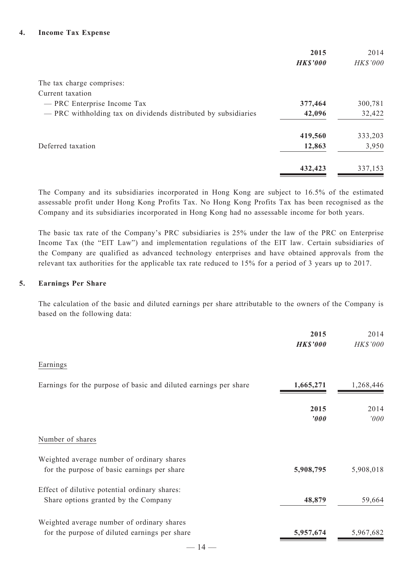|                                                                | 2015<br><b>HK\$'000</b> | 2014<br>HK\$'000 |
|----------------------------------------------------------------|-------------------------|------------------|
| The tax charge comprises:                                      |                         |                  |
| Current taxation                                               |                         |                  |
| - PRC Enterprise Income Tax                                    | 377,464                 | 300,781          |
| - PRC withholding tax on dividends distributed by subsidiaries | 42,096                  | 32,422           |
|                                                                | 419,560                 | 333,203          |
| Deferred taxation                                              | 12,863                  | 3,950            |
|                                                                | 432,423                 | 337,153          |

The Company and its subsidiaries incorporated in Hong Kong are subject to 16.5% of the estimated assessable profit under Hong Kong Profits Tax. No Hong Kong Profits Tax has been recognised as the Company and its subsidiaries incorporated in Hong Kong had no assessable income for both years.

The basic tax rate of the Company's PRC subsidiaries is 25% under the law of the PRC on Enterprise Income Tax (the "EIT Law") and implementation regulations of the EIT law. Certain subsidiaries of the Company are qualified as advanced technology enterprises and have obtained approvals from the relevant tax authorities for the applicable tax rate reduced to 15% for a period of 3 years up to 2017.

#### **5. Earnings Per Share**

The calculation of the basic and diluted earnings per share attributable to the owners of the Company is based on the following data:

|                                                                  | 2015<br><b>HK\$'000</b> | 2014<br>HK\$'000 |
|------------------------------------------------------------------|-------------------------|------------------|
| Earnings                                                         |                         |                  |
| Earnings for the purpose of basic and diluted earnings per share | 1,665,271               | 1,268,446        |
|                                                                  | 2015<br>'000            | 2014<br>'000     |
| Number of shares                                                 |                         |                  |
| Weighted average number of ordinary shares                       |                         |                  |
| for the purpose of basic earnings per share                      | 5,908,795               | 5,908,018        |
| Effect of dilutive potential ordinary shares:                    |                         |                  |
| Share options granted by the Company                             | 48,879                  | 59,664           |
| Weighted average number of ordinary shares                       |                         |                  |
| for the purpose of diluted earnings per share                    | 5,957,674               | 5,967,682        |
| – 14 —                                                           |                         |                  |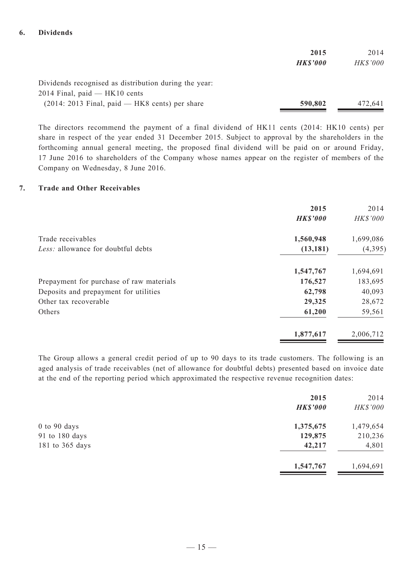#### **6. Dividends**

|                                                       | 2015            | 2014     |
|-------------------------------------------------------|-----------------|----------|
|                                                       | <b>HK\$'000</b> | HK\$'000 |
|                                                       |                 |          |
| Dividends recognised as distribution during the year: |                 |          |
| $2014$ Final, paid — HK10 cents                       |                 |          |
| $(2014: 2013$ Final, paid — HK8 cents) per share      | 590,802         | 472,641  |

The directors recommend the payment of a final dividend of HK11 cents (2014: HK10 cents) per share in respect of the year ended 31 December 2015. Subject to approval by the shareholders in the forthcoming annual general meeting, the proposed final dividend will be paid on or around Friday, 17 June 2016 to shareholders of the Company whose names appear on the register of members of the Company on Wednesday, 8 June 2016.

#### **7. Trade and Other Receivables**

|                                          | 2015<br><b>HK\$'000</b> | 2014<br>HK\$'000 |
|------------------------------------------|-------------------------|------------------|
| Trade receivables                        | 1,560,948               | 1,699,086        |
| Less: allowance for doubtful debts       | (13, 181)               | (4,395)          |
|                                          | 1,547,767               | 1,694,691        |
| Prepayment for purchase of raw materials | 176,527                 | 183,695          |
| Deposits and prepayment for utilities    | 62,798                  | 40,093           |
| Other tax recoverable                    | 29,325                  | 28,672           |
| Others                                   | 61,200                  | 59,561           |
|                                          | 1,877,617               | 2,006,712        |

The Group allows a general credit period of up to 90 days to its trade customers. The following is an aged analysis of trade receivables (net of allowance for doubtful debts) presented based on invoice date at the end of the reporting period which approximated the respective revenue recognition dates:

|                  | 2015            | 2014      |
|------------------|-----------------|-----------|
|                  | <b>HK\$'000</b> | HK\$'000  |
| $0$ to $90$ days | 1,375,675       | 1,479,654 |
| 91 to 180 days   | 129,875         | 210,236   |
| 181 to 365 days  | 42,217          | 4,801     |
|                  | 1,547,767       | 1,694,691 |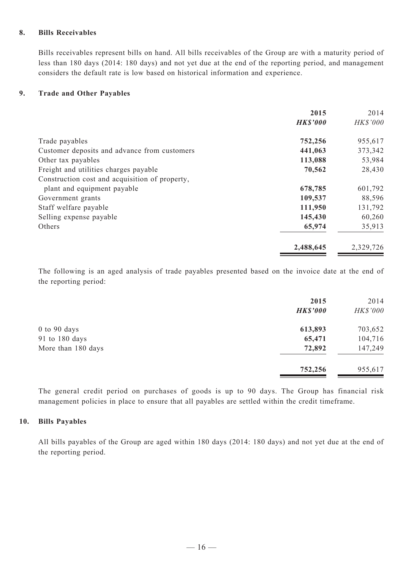#### **8. Bills Receivables**

Bills receivables represent bills on hand. All bills receivables of the Group are with a maturity period of less than 180 days (2014: 180 days) and not yet due at the end of the reporting period, and management considers the default rate is low based on historical information and experience.

#### **9. Trade and Other Payables**

|                                                | 2015            | 2014      |
|------------------------------------------------|-----------------|-----------|
|                                                | <b>HK\$'000</b> | HK\$'000  |
| Trade payables                                 | 752,256         | 955,617   |
| Customer deposits and advance from customers   | 441,063         | 373,342   |
| Other tax payables                             | 113,088         | 53,984    |
| Freight and utilities charges payable          | 70,562          | 28,430    |
| Construction cost and acquisition of property, |                 |           |
| plant and equipment payable                    | 678,785         | 601,792   |
| Government grants                              | 109,537         | 88,596    |
| Staff welfare payable                          | 111,950         | 131,792   |
| Selling expense payable                        | 145,430         | 60,260    |
| Others                                         | 65,974          | 35,913    |
|                                                | 2,488,645       | 2,329,726 |

The following is an aged analysis of trade payables presented based on the invoice date at the end of the reporting period:

|                    | 2015<br><b>HK\$'000</b> | 2014<br>HK\$'000 |
|--------------------|-------------------------|------------------|
| $0$ to $90$ days   | 613,893                 | 703,652          |
| 91 to 180 days     | 65,471                  | 104,716          |
| More than 180 days | 72,892                  | 147,249          |
|                    | 752,256                 | 955,617          |

The general credit period on purchases of goods is up to 90 days. The Group has financial risk management policies in place to ensure that all payables are settled within the credit timeframe.

#### **10. Bills Payables**

All bills payables of the Group are aged within 180 days (2014: 180 days) and not yet due at the end of the reporting period.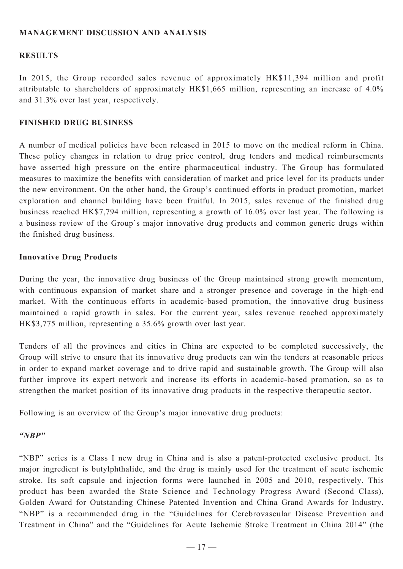## **MANAGEMENT DISCUSSION AND ANALYSIS**

#### **RESULTS**

In 2015, the Group recorded sales revenue of approximately HK\$11,394 million and profit attributable to shareholders of approximately HK\$1,665 million, representing an increase of 4.0% and 31.3% over last year, respectively.

#### **FINISHED DRUG BUSINESS**

A number of medical policies have been released in 2015 to move on the medical reform in China. These policy changes in relation to drug price control, drug tenders and medical reimbursements have asserted high pressure on the entire pharmaceutical industry. The Group has formulated measures to maximize the benefits with consideration of market and price level for its products under the new environment. On the other hand, the Group's continued efforts in product promotion, market exploration and channel building have been fruitful. In 2015, sales revenue of the finished drug business reached HK\$7,794 million, representing a growth of 16.0% over last year. The following is a business review of the Group's major innovative drug products and common generic drugs within the finished drug business.

#### **Innovative Drug Products**

During the year, the innovative drug business of the Group maintained strong growth momentum, with continuous expansion of market share and a stronger presence and coverage in the high-end market. With the continuous efforts in academic-based promotion, the innovative drug business maintained a rapid growth in sales. For the current year, sales revenue reached approximately HK\$3,775 million, representing a 35.6% growth over last year.

Tenders of all the provinces and cities in China are expected to be completed successively, the Group will strive to ensure that its innovative drug products can win the tenders at reasonable prices in order to expand market coverage and to drive rapid and sustainable growth. The Group will also further improve its expert network and increase its efforts in academic-based promotion, so as to strengthen the market position of its innovative drug products in the respective therapeutic sector.

Following is an overview of the Group's major innovative drug products:

#### *"NBP"*

"NBP" series is a Class I new drug in China and is also a patent-protected exclusive product. Its major ingredient is butylphthalide, and the drug is mainly used for the treatment of acute ischemic stroke. Its soft capsule and injection forms were launched in 2005 and 2010, respectively. This product has been awarded the State Science and Technology Progress Award (Second Class), Golden Award for Outstanding Chinese Patented Invention and China Grand Awards for Industry. "NBP" is a recommended drug in the "Guidelines for Cerebrovascular Disease Prevention and Treatment in China" and the "Guidelines for Acute Ischemic Stroke Treatment in China 2014" (the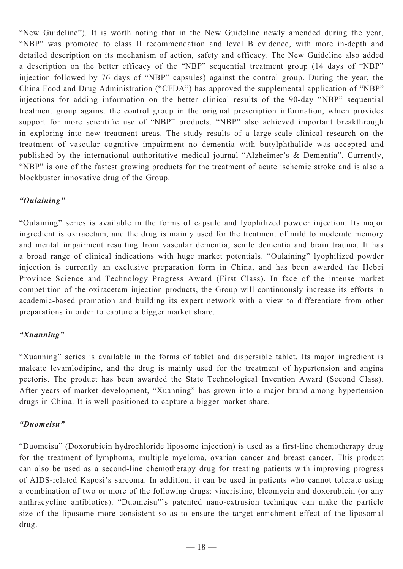"New Guideline"). It is worth noting that in the New Guideline newly amended during the year, "NBP" was promoted to class II recommendation and level B evidence, with more in-depth and detailed description on its mechanism of action, safety and efficacy. The New Guideline also added a description on the better efficacy of the "NBP" sequential treatment group (14 days of "NBP" injection followed by 76 days of "NBP" capsules) against the control group. During the year, the China Food and Drug Administration ("CFDA") has approved the supplemental application of "NBP" injections for adding information on the better clinical results of the 90-day "NBP" sequential treatment group against the control group in the original prescription information, which provides support for more scientific use of "NBP" products. "NBP" also achieved important breakthrough in exploring into new treatment areas. The study results of a large-scale clinical research on the treatment of vascular cognitive impairment no dementia with butylphthalide was accepted and published by the international authoritative medical journal "Alzheimer's & Dementia". Currently, "NBP" is one of the fastest growing products for the treatment of acute ischemic stroke and is also a blockbuster innovative drug of the Group.

## *"Oulaining"*

"Oulaining" series is available in the forms of capsule and lyophilized powder injection. Its major ingredient is oxiracetam, and the drug is mainly used for the treatment of mild to moderate memory and mental impairment resulting from vascular dementia, senile dementia and brain trauma. It has a broad range of clinical indications with huge market potentials. "Oulaining" lyophilized powder injection is currently an exclusive preparation form in China, and has been awarded the Hebei Province Science and Technology Progress Award (First Class). In face of the intense market competition of the oxiracetam injection products, the Group will continuously increase its efforts in academic-based promotion and building its expert network with a view to differentiate from other preparations in order to capture a bigger market share.

## *"Xuanning"*

"Xuanning" series is available in the forms of tablet and dispersible tablet. Its major ingredient is maleate levamlodipine, and the drug is mainly used for the treatment of hypertension and angina pectoris. The product has been awarded the State Technological Invention Award (Second Class). After years of market development, "Xuanning" has grown into a major brand among hypertension drugs in China. It is well positioned to capture a bigger market share.

## *"Duomeisu"*

"Duomeisu" (Doxorubicin hydrochloride liposome injection) is used as a first-line chemotherapy drug for the treatment of lymphoma, multiple myeloma, ovarian cancer and breast cancer. This product can also be used as a second-line chemotherapy drug for treating patients with improving progress of AIDS-related Kaposi's sarcoma. In addition, it can be used in patients who cannot tolerate using a combination of two or more of the following drugs: vincristine, bleomycin and doxorubicin (or any anthracycline antibiotics). "Duomeisu"'s patented nano-extrusion technique can make the particle size of the liposome more consistent so as to ensure the target enrichment effect of the liposomal drug.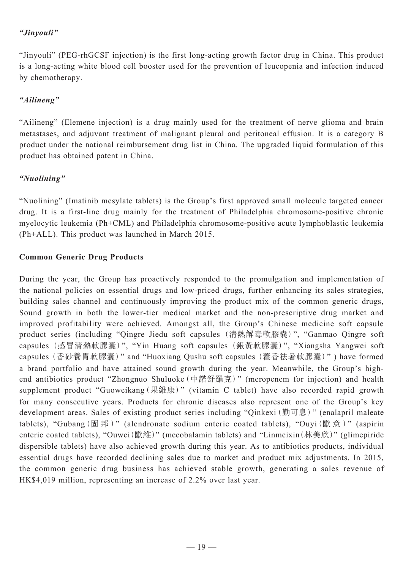## *"Jinyouli"*

"Jinyouli" (PEG-rhGCSF injection) is the first long-acting growth factor drug in China. This product is a long-acting white blood cell booster used for the prevention of leucopenia and infection induced by chemotherapy.

## *"Ailineng"*

"Ailineng" (Elemene injection) is a drug mainly used for the treatment of nerve glioma and brain metastases, and adjuvant treatment of malignant pleural and peritoneal effusion. It is a category B product under the national reimbursement drug list in China. The upgraded liquid formulation of this product has obtained patent in China.

## *"Nuolining"*

"Nuolining" (Imatinib mesylate tablets) is the Group's first approved small molecule targeted cancer drug. It is a first-line drug mainly for the treatment of Philadelphia chromosome-positive chronic myelocytic leukemia (Ph+CML) and Philadelphia chromosome-positive acute lymphoblastic leukemia (Ph+ALL). This product was launched in March 2015.

## **Common Generic Drug Products**

During the year, the Group has proactively responded to the promulgation and implementation of the national policies on essential drugs and low-priced drugs, further enhancing its sales strategies, building sales channel and continuously improving the product mix of the common generic drugs, Sound growth in both the lower-tier medical market and the non-prescriptive drug market and improved profitability were achieved. Amongst all, the Group's Chinese medicine soft capsule product series (including "Qingre Jiedu soft capsules (清熱解毒軟膠囊)", "Ganmao Qingre soft capsules (感冒清熱軟膠囊)", "Yin Huang soft capsules (銀黃軟膠囊)", "Xiangsha Yangwei soft capsules (香砂養胃軟膠囊)" and "Huoxiang Qushu soft capsules (藿香祛暑軟膠囊)" ) have formed a brand portfolio and have attained sound growth during the year. Meanwhile, the Group's highend antibiotics product "Zhongnuo Shuluoke(中諾舒羅克)" (meropenem for injection) and health supplement product "Guoweikang(果維康)" (vitamin C tablet) have also recorded rapid growth for many consecutive years. Products for chronic diseases also represent one of the Group's key development areas. Sales of existing product series including "Qinkexi(勤可息)" (enalapril maleate tablets), "Gubang (固邦)" (alendronate sodium enteric coated tablets), "Ouyi (歐意)" (aspirin enteric coated tablets), "Ouwei(歐維)" (mecobalamin tablets) and "Linmeixin(林美欣)" (glimepiride dispersible tablets) have also achieved growth during this year. As to antibiotics products, individual essential drugs have recorded declining sales due to market and product mix adjustments. In 2015, the common generic drug business has achieved stable growth, generating a sales revenue of HK\$4,019 million, representing an increase of 2.2% over last year.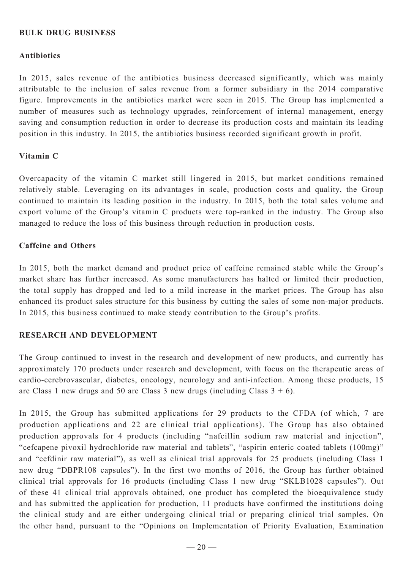#### **Bulk Drug Business**

#### **Antibiotics**

In 2015, sales revenue of the antibiotics business decreased significantly, which was mainly attributable to the inclusion of sales revenue from a former subsidiary in the 2014 comparative figure. Improvements in the antibiotics market were seen in 2015. The Group has implemented a number of measures such as technology upgrades, reinforcement of internal management, energy saving and consumption reduction in order to decrease its production costs and maintain its leading position in this industry. In 2015, the antibiotics business recorded significant growth in profit.

#### **Vitamin C**

Overcapacity of the vitamin C market still lingered in 2015, but market conditions remained relatively stable. Leveraging on its advantages in scale, production costs and quality, the Group continued to maintain its leading position in the industry. In 2015, both the total sales volume and export volume of the Group's vitamin C products were top-ranked in the industry. The Group also managed to reduce the loss of this business through reduction in production costs.

#### **Caffeine and Others**

In 2015, both the market demand and product price of caffeine remained stable while the Group's market share has further increased. As some manufacturers has halted or limited their production, the total supply has dropped and led to a mild increase in the market prices. The Group has also enhanced its product sales structure for this business by cutting the sales of some non-major products. In 2015, this business continued to make steady contribution to the Group's profits.

#### **RESEARCH AND DEVELOPMENT**

The Group continued to invest in the research and development of new products, and currently has approximately 170 products under research and development, with focus on the therapeutic areas of cardio-cerebrovascular, diabetes, oncology, neurology and anti-infection. Among these products, 15 are Class 1 new drugs and 50 are Class 3 new drugs (including Class  $3 + 6$ ).

In 2015, the Group has submitted applications for 29 products to the CFDA (of which, 7 are production applications and 22 are clinical trial applications). The Group has also obtained production approvals for 4 products (including "nafcillin sodium raw material and injection", "cefcapene pivoxil hydrochloride raw material and tablets", "aspirin enteric coated tablets (100mg)" and "cefdinir raw material"), as well as clinical trial approvals for 25 products (including Class 1 new drug "DBPR108 capsules"). In the first two months of 2016, the Group has further obtained clinical trial approvals for 16 products (including Class 1 new drug "SKLB1028 capsules"). Out of these 41 clinical trial approvals obtained, one product has completed the bioequivalence study and has submitted the application for production, 11 products have confirmed the institutions doing the clinical study and are either undergoing clinical trial or preparing clinical trial samples. On the other hand, pursuant to the "Opinions on Implementation of Priority Evaluation, Examination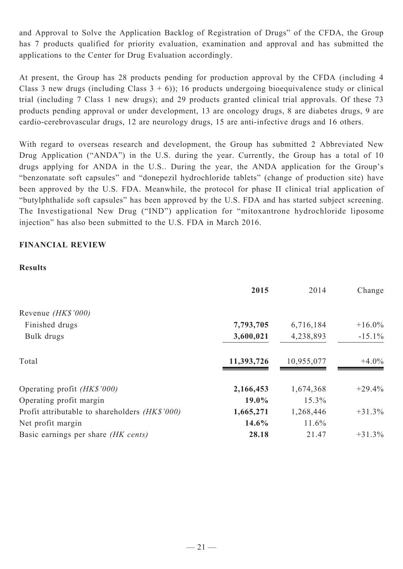and Approval to Solve the Application Backlog of Registration of Drugs" of the CFDA, the Group has 7 products qualified for priority evaluation, examination and approval and has submitted the applications to the Center for Drug Evaluation accordingly.

At present, the Group has 28 products pending for production approval by the CFDA (including 4 Class 3 new drugs (including Class  $3 + 6$ )); 16 products undergoing bioequivalence study or clinical trial (including 7 Class 1 new drugs); and 29 products granted clinical trial approvals. Of these 73 products pending approval or under development, 13 are oncology drugs, 8 are diabetes drugs, 9 are cardio-cerebrovascular drugs, 12 are neurology drugs, 15 are anti-infective drugs and 16 others.

With regard to overseas research and development, the Group has submitted 2 Abbreviated New Drug Application ("ANDA") in the U.S. during the year. Currently, the Group has a total of 10 drugs applying for ANDA in the U.S.. During the year, the ANDA application for the Group's "benzonatate soft capsules" and "donepezil hydrochloride tablets" (change of production site) have been approved by the U.S. FDA. Meanwhile, the protocol for phase II clinical trial application of "butylphthalide soft capsules" has been approved by the U.S. FDA and has started subject screening. The Investigational New Drug ("IND") application for "mitoxantrone hydrochloride liposome injection" has also been submitted to the U.S. FDA in March 2016.

## **Financial Review**

#### **Results**

|                                                | 2015       | 2014       | Change    |
|------------------------------------------------|------------|------------|-----------|
| Revenue (HK\$'000)                             |            |            |           |
| Finished drugs                                 | 7,793,705  | 6,716,184  | $+16.0\%$ |
| Bulk drugs                                     | 3,600,021  | 4,238,893  | $-15.1\%$ |
| Total                                          | 11,393,726 | 10,955,077 | $+4.0\%$  |
| Operating profit <i>(HK\$'000)</i>             | 2,166,453  | 1,674,368  | $+29.4%$  |
| Operating profit margin                        | 19.0%      | 15.3%      |           |
| Profit attributable to shareholders (HK\$'000) | 1,665,271  | 1,268,446  | $+31.3%$  |
| Net profit margin                              | 14.6%      | 11.6%      |           |
| Basic earnings per share <i>(HK cents)</i>     | 28.18      | 21.47      | $+31.3%$  |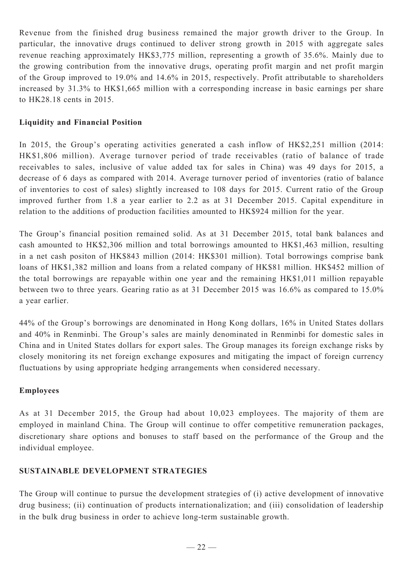Revenue from the finished drug business remained the major growth driver to the Group. In particular, the innovative drugs continued to deliver strong growth in 2015 with aggregate sales revenue reaching approximately HK\$3,775 million, representing a growth of 35.6%. Mainly due to the growing contribution from the innovative drugs, operating profit margin and net profit margin of the Group improved to 19.0% and 14.6% in 2015, respectively. Profit attributable to shareholders increased by 31.3% to HK\$1,665 million with a corresponding increase in basic earnings per share to HK28.18 cents in 2015.

## **Liquidity and Financial Position**

In 2015, the Group's operating activities generated a cash inflow of HK\$2,251 million (2014: HK\$1,806 million). Average turnover period of trade receivables (ratio of balance of trade receivables to sales, inclusive of value added tax for sales in China) was 49 days for 2015, a decrease of 6 days as compared with 2014. Average turnover period of inventories (ratio of balance of inventories to cost of sales) slightly increased to 108 days for 2015. Current ratio of the Group improved further from 1.8 a year earlier to 2.2 as at 31 December 2015. Capital expenditure in relation to the additions of production facilities amounted to HK\$924 million for the year.

The Group's financial position remained solid. As at 31 December 2015, total bank balances and cash amounted to HK\$2,306 million and total borrowings amounted to HK\$1,463 million, resulting in a net cash positon of HK\$843 million (2014: HK\$301 million). Total borrowings comprise bank loans of HK\$1,382 million and loans from a related company of HK\$81 million. HK\$452 million of the total borrowings are repayable within one year and the remaining HK\$1,011 million repayable between two to three years. Gearing ratio as at 31 December 2015 was 16.6% as compared to 15.0% a year earlier.

44% of the Group's borrowings are denominated in Hong Kong dollars, 16% in United States dollars and 40% in Renminbi. The Group's sales are mainly denominated in Renminbi for domestic sales in China and in United States dollars for export sales. The Group manages its foreign exchange risks by closely monitoring its net foreign exchange exposures and mitigating the impact of foreign currency fluctuations by using appropriate hedging arrangements when considered necessary.

## **Employees**

As at 31 December 2015, the Group had about 10,023 employees. The majority of them are employed in mainland China. The Group will continue to offer competitive remuneration packages, discretionary share options and bonuses to staff based on the performance of the Group and the individual employee.

## **Sustainable Development Strategies**

The Group will continue to pursue the development strategies of (i) active development of innovative drug business; (ii) continuation of products internationalization; and (iii) consolidation of leadership in the bulk drug business in order to achieve long-term sustainable growth.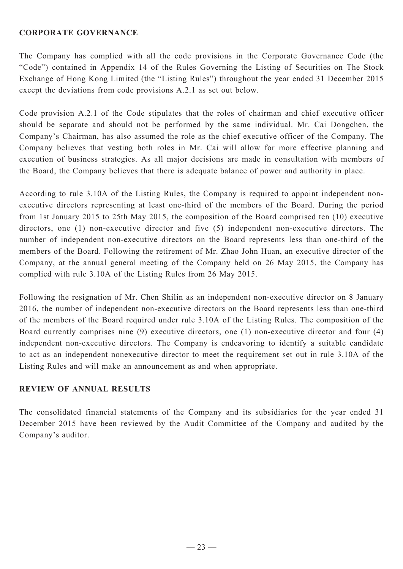#### **CORPORATE GOVERNANCE**

The Company has complied with all the code provisions in the Corporate Governance Code (the "Code") contained in Appendix 14 of the Rules Governing the Listing of Securities on The Stock Exchange of Hong Kong Limited (the "Listing Rules") throughout the year ended 31 December 2015 except the deviations from code provisions A.2.1 as set out below.

Code provision A.2.1 of the Code stipulates that the roles of chairman and chief executive officer should be separate and should not be performed by the same individual. Mr. Cai Dongchen, the Company's Chairman, has also assumed the role as the chief executive officer of the Company. The Company believes that vesting both roles in Mr. Cai will allow for more effective planning and execution of business strategies. As all major decisions are made in consultation with members of the Board, the Company believes that there is adequate balance of power and authority in place.

According to rule 3.10A of the Listing Rules, the Company is required to appoint independent nonexecutive directors representing at least one-third of the members of the Board. During the period from 1st January 2015 to 25th May 2015, the composition of the Board comprised ten (10) executive directors, one (1) non-executive director and five (5) independent non-executive directors. The number of independent non-executive directors on the Board represents less than one-third of the members of the Board. Following the retirement of Mr. Zhao John Huan, an executive director of the Company, at the annual general meeting of the Company held on 26 May 2015, the Company has complied with rule 3.10A of the Listing Rules from 26 May 2015.

Following the resignation of Mr. Chen Shilin as an independent non-executive director on 8 January 2016, the number of independent non-executive directors on the Board represents less than one-third of the members of the Board required under rule 3.10A of the Listing Rules. The composition of the Board currently comprises nine (9) executive directors, one (1) non-executive director and four (4) independent non-executive directors. The Company is endeavoring to identify a suitable candidate to act as an independent nonexecutive director to meet the requirement set out in rule 3.10A of the Listing Rules and will make an announcement as and when appropriate.

## **REVIEW OF ANNUAL RESULTS**

The consolidated financial statements of the Company and its subsidiaries for the year ended 31 December 2015 have been reviewed by the Audit Committee of the Company and audited by the Company's auditor.